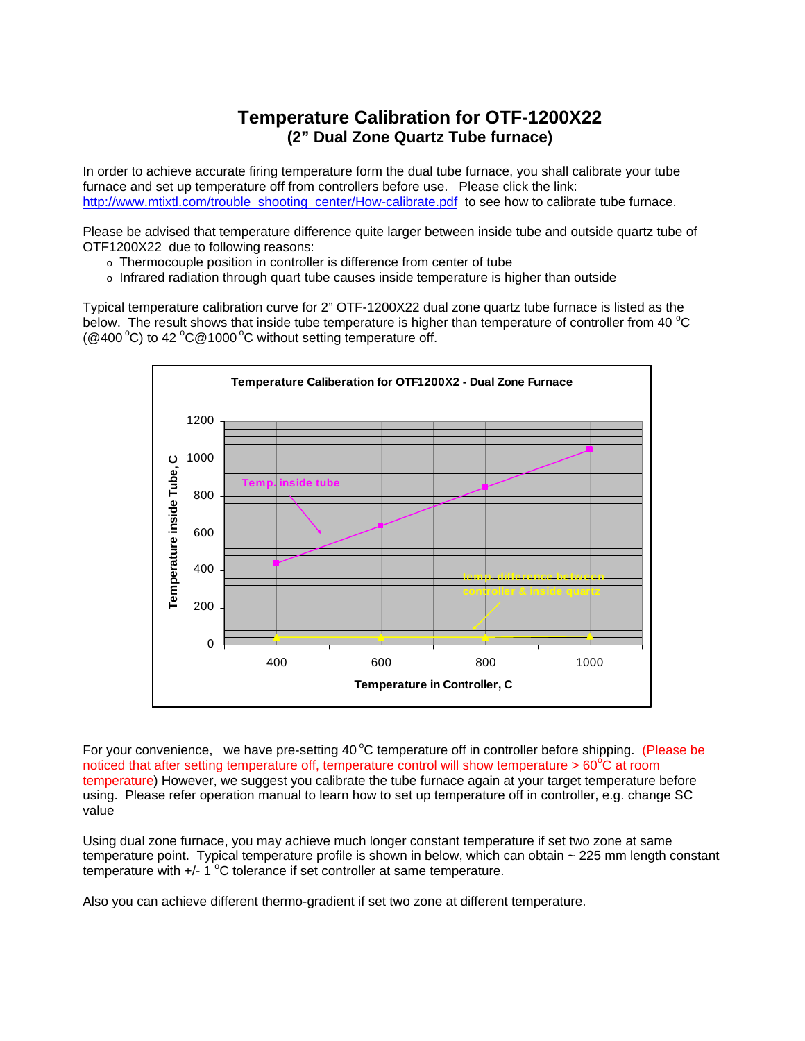## **Temperature Calibration for OTF-1200X22 (2" Dual Zone Quartz Tube furnace)**

In order to achieve accurate firing temperature form the dual tube furnace, you shall calibrate your tube furnace and set up temperature off from controllers before use. Please click the link: http://www.mtixtl.com/trouble\_shooting\_center/How-calibrate.pdf\_to see how to calibrate tube furnace.

Please be advised that temperature difference quite larger between inside tube and outside quartz tube of OTF1200X22 due to following reasons:

- o Thermocouple position in controller is difference from center of tube
- $\circ$  Infrared radiation through quart tube causes inside temperature is higher than outside

Typical temperature calibration curve for 2" OTF-1200X22 dual zone quartz tube furnace is listed as the below. The result shows that inside tube temperature is higher than temperature of controller from 40  $^{\circ}$ C (@400 $^{\circ}$ C) to 42  $^{\circ}$ C@1000 $^{\circ}$ C without setting temperature off.



For your convenience, we have pre-setting 40 $\degree$ C temperature off in controller before shipping. (Please be noticed that after setting temperature off, temperature control will show temperature >  $60^{\circ}$ C at room temperature) However, we suggest you calibrate the tube furnace again at your target temperature before using. Please refer operation manual to learn how to set up temperature off in controller, e.g. change SC value

Using dual zone furnace, you may achieve much longer constant temperature if set two zone at same temperature point. Typical temperature profile is shown in below, which can obtain ~ 225 mm length constant temperature with  $+/- 1$  °C tolerance if set controller at same temperature.

Also you can achieve different thermo-gradient if set two zone at different temperature.